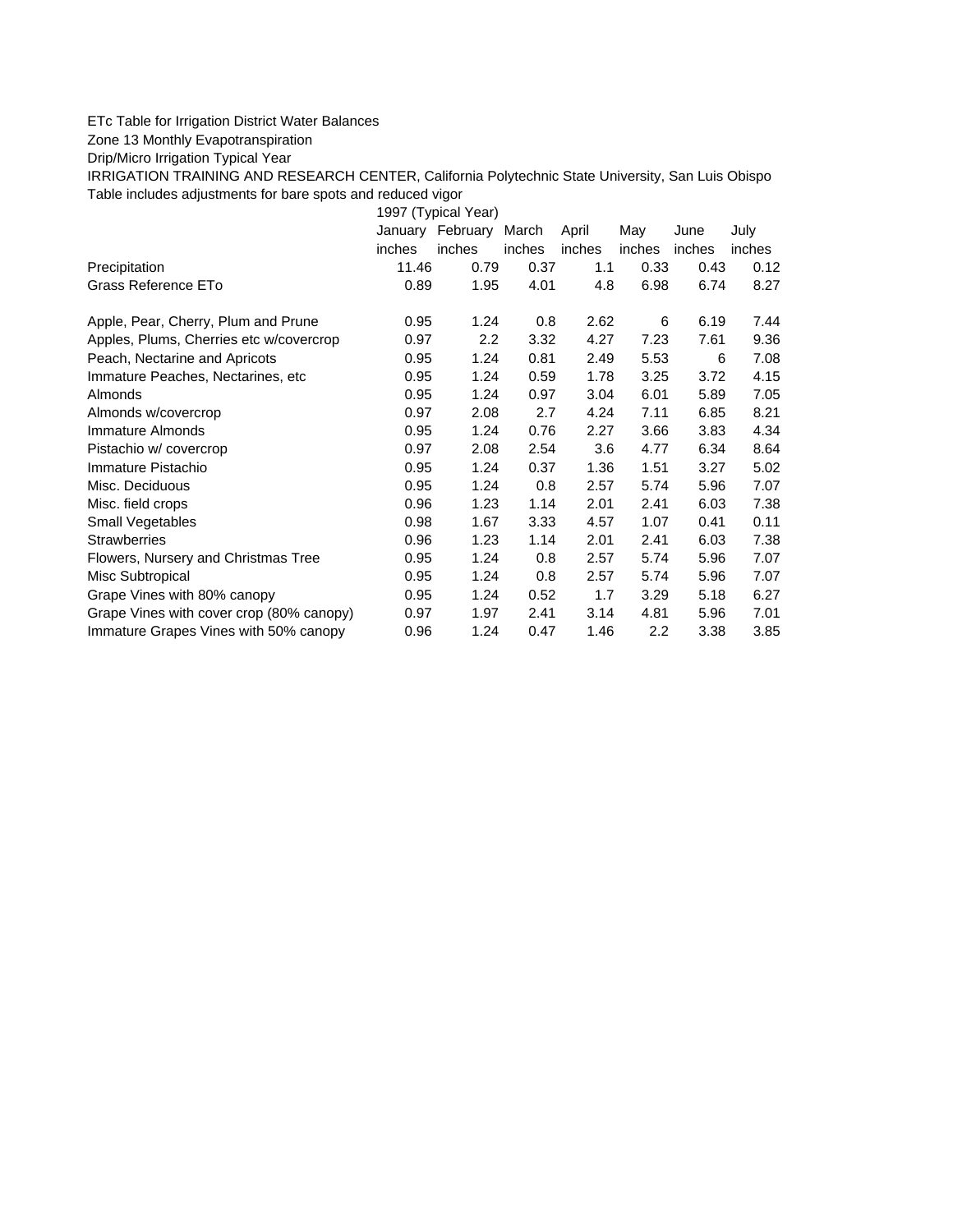## ETc Table for Irrigation District Water Balances

Zone 13 Monthly Evapotranspiration

Drip/Micro Irrigation Typical Year

IRRIGATION TRAINING AND RESEARCH CENTER, California Polytechnic State University, San Luis Obispo Table includes adjustments for bare spots and reduced vigor

1997 (Typical Year) January February March April May June July inches inches inches inches inches inches inches Precipitation 11.46 0.79 0.37 1.1 0.33 0.43 0.12 Grass Reference ETo  $0.89$   $1.95$   $4.01$   $4.8$   $6.98$   $6.74$   $8.27$ Apple, Pear, Cherry, Plum and Prune  $0.95$  1.24  $0.8$  2.62 6 6.19 7.44 Apples, Plums, Cherries etc w/covercrop 0.97 2.2 3.32 4.27 7.23 7.61 9.36 Peach, Nectarine and Apricots 0.95 1.24 0.81 2.49 5.53 6 7.08 Immature Peaches, Nectarines, etc 0.95 1.24 0.59 1.78 3.25 3.72 4.15 Almonds 0.95 1.24 0.97 3.04 6.01 5.89 7.05 Almonds w/covercrop 0.97 2.08 2.7 4.24 7.11 6.85 8.21 Immature Almonds 0.95 1.24 0.76 2.27 3.66 3.83 4.34 Pistachio w/ covercrop 0.97 2.08 2.54 3.6 4.77 6.34 8.64 Immature Pistachio 0.95 1.24 0.37 1.36 1.51 3.27 5.02 Misc. Deciduous 0.95 1.24 0.8 2.57 5.74 5.96 7.07 Misc. field crops 0.96 1.23 1.14 2.01 2.41 6.03 7.38 Small Vegetables 0.98 1.67 3.33 4.57 1.07 0.41 0.11 Strawberries 0.96 1.23 1.14 2.01 2.41 6.03 7.38 Flowers, Nursery and Christmas Tree 0.95 1.24 0.8 2.57 5.74 5.96 7.07 Misc Subtropical 0.95 1.24 0.8 2.57 5.74 5.96 7.07 Grape Vines with 80% canopy  $0.95$  1.24 0.52 1.7 3.29 5.18 6.27 Grape Vines with cover crop (80% canopy) 0.97 1.97 2.41 3.14 4.81 5.96 7.01 Immature Grapes Vines with 50% canopy 0.96 1.24 0.47 1.46 2.2 3.38 3.85